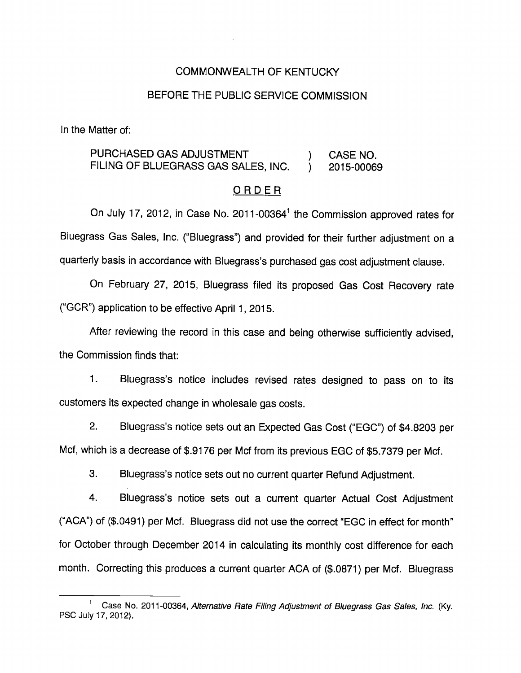## COMMONWEALTH OF KENTUCKY

#### BEFORE THE PUBLIC SERVICE COMMISSION

In the Matter of:

# PURCHASED GAS ADJUSTMENT (CASE NO. FILING OF BLUEGRASS GAS SALES, INC. (2015-00069)

#### ORDER

On July 17, 2012, in Case No. 2011-00364 $<sup>1</sup>$  the Commission approved rates for</sup> Bluegrass Gas Sales, Inc. ("Bluegrass") and provided for their further adjustment on a quarterly basis in accordance with Bluegrass's purchased gas cost adjustment clause.

On February 27, 2015, Bluegrass filed its proposed Gas Cost Recovery rate ("GCR") application to be effective April 1, 2015.

After reviewing the record in this case and being otherwise sufficiently advised, the Commission finds that:

1. Bluegrass's notice includes revised rates designed to pass on to its customers its expected change in wholesale gas costs.

2. Bluegrass's notice sets out an Expected Gas Cost ("EGC") of \$4.8203 per Mcf, which is a decrease of \$.9176 per Mcf from its previous EGC of \$5.7379 per Mcf.

3. Bluegrass's notice sets out no current quarter Refund Adjustment.

4. Bluegrass's notice sets out a current quarter Actual Cost Adjustment ("ACA") of (\$.0491) per Mcf. Bluegrass did not use the correct "EGC in effect for month" for October through December 2014 in calculating its monthly cost difference for each month. Correcting this produces a current quarter ACA of (\$.0871) per Mcf. Bluegrass

Case No. 2011-00364, Alternative Rate Filing Adjustment of Bluegrass Gas Sales, Inc. (Ky. PSC July 17, 2012).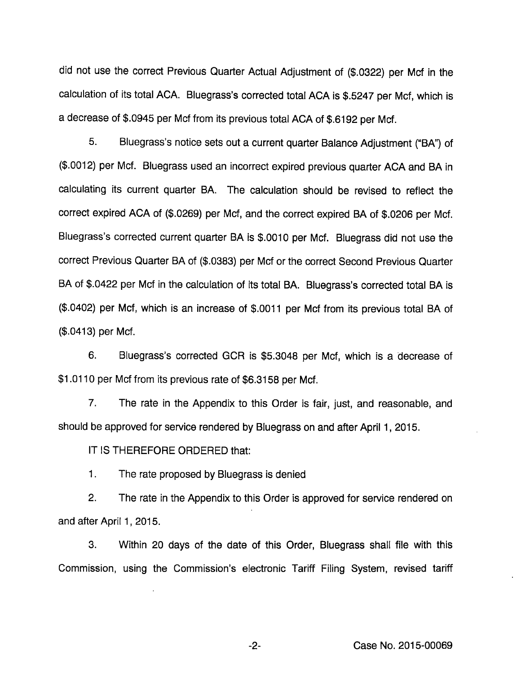did not use the correct Previous Quarter Actual Adjustment of (\$.0322) per Mcf in the calculation of its total ACA. Bluegrass's corrected total ACA is \$.5247 per Mcf, which is a decrease of \$.0945 per Mcf from its previous total ACA of \$.6192 per Mcf.

5. Bluegrass's notice sets out a current quarter Balance Adjustment ("BA") of (\$.0012) per Mcf. Bluegrass used an incorrect expired previous quarter ACA and BA in calculating its current quarter BA. The calculation should be revised to reflect the correct expired ACA of (\$.0269) per Mcf, and the correct expired BA of \$.0206 per Mcf. Bluegrass's corrected current quarter BA is \$.0010 per Mcf. Bluegrass did not use the correct Previous Quarter BAof (\$.0383) per Mcf or the correct Second Previous Quarter BA of \$.0422 per Mcf in the calculation of its total BA. Bluegrass's corrected total BA is (\$.0402) per Mcf, which is an increase of \$.0011 per Mcf from its previous total BA of (\$.0413) per Mcf.

6. Bluegrass's corrected GCR is \$5.3048 per Mcf, which is a decrease of \$1.0110 per Mcf from its previous rate of \$6.3158 per Mcf.

7. The rate in the Appendix to this Order is fair, just, and reasonable, and should be approved for service rendered by Bluegrass on and after April 1, 2015.

IT IS THEREFORE ORDERED that:

1. The rate proposed by Bluegrass is denied

2. The rate in the Appendix to this Order is approved for service rendered on and after April 1, 2015.

3. Within 20 days of the date of this Order, Bluegrass shall file with this Commission, using the Commission's electronic Tariff Filing System, revised tariff

-2- Case No. 2015-00069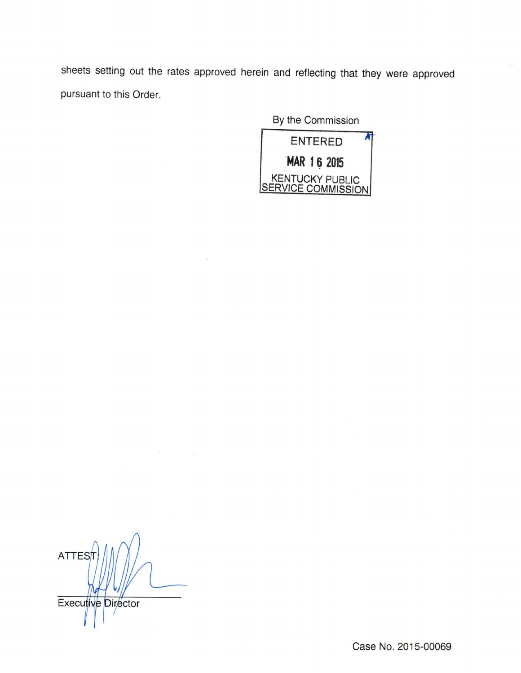sheets setting out the rates approved herein and reflecting that they were approved pursuant to this Order.

By the Commission



**ATTES** Executive Director

Case No. 2015-00069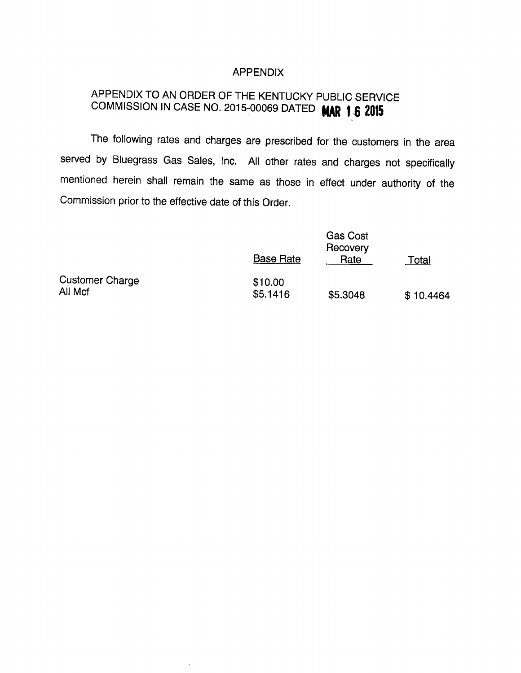## APPENDIX

# APPENDIX TO AN ORDER OF THE KENTUCKY PUBLIC SERVICE COMMISSION IN CASE NO. 2015-00069 DATED MAR 1 6 2015

The following rates and charges are prescribed for the customers in the area served by Bluegrass Gas Sales, Inc. All other rates and charges not specifically mentioned herein shall remain the same as those in effect under authority of the Commission prior to the effective date of this Order.

|                                   | <b>Base Rate</b>    | <b>Gas Cost</b><br>Recovery<br>Rate | Total     |
|-----------------------------------|---------------------|-------------------------------------|-----------|
| <b>Customer Charge</b><br>All Mcf | \$10.00<br>\$5.1416 | \$5.3048                            | \$10.4464 |

 $\bar{z}$